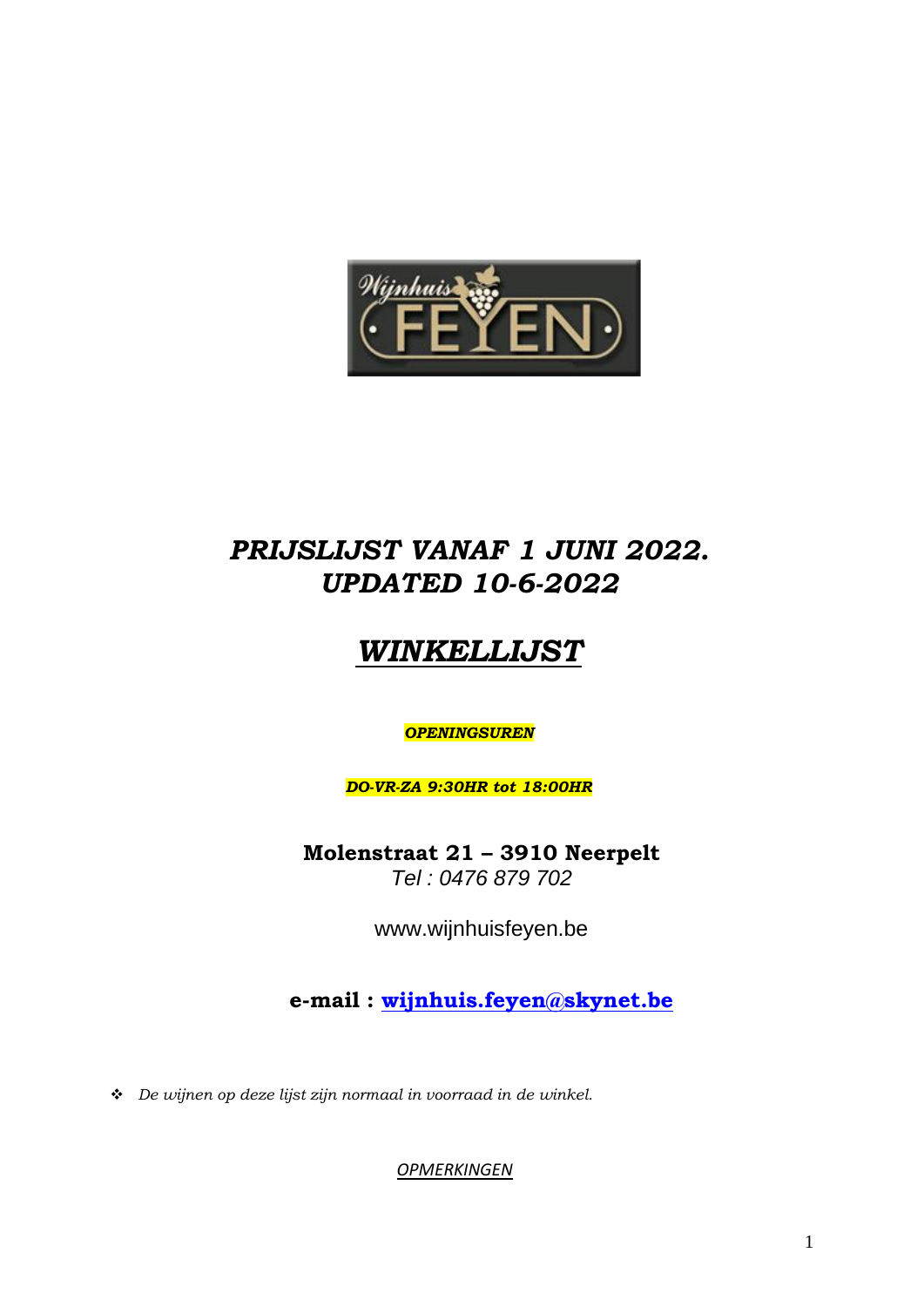

## *PRIJSLIJST VANAF 1 JUNI 2022. UPDATED 10-6-2022*

# *WINKELLIJST*

## *OPENINGSUREN*

*DO-VR-ZA 9:30HR tot 18:00HR*

**Molenstraat 21 – 3910 Neerpelt** *Tel : 0476 879 702*

www.wijnhuisfeyen.be

**e-mail : [wijnhuis.feyen@skynet.be](mailto:wijnhuis.feyen@skynet.be)**

❖ *De wijnen op deze lijst zijn normaal in voorraad in de winkel.* 

*OPMERKINGEN*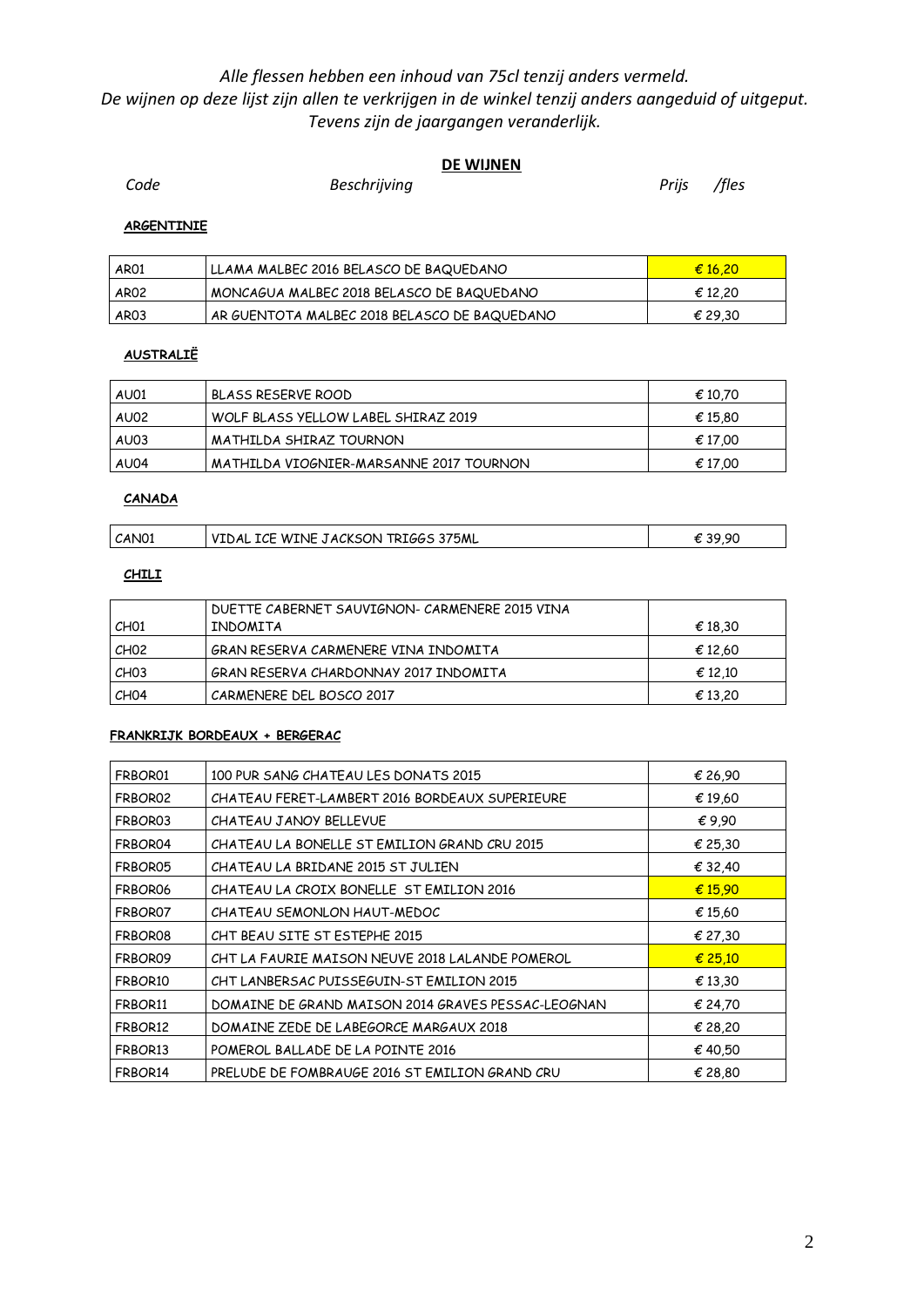### *Alle flessen hebben een inhoud van 75cl tenzij anders vermeld. De wijnen op deze lijst zijn allen te verkrijgen in de winkel tenzij anders aangeduid of uitgeput. Tevens zijn de jaargangen veranderlijk.*

### **DE WIJNEN**

**Code Beschrijving Beschrijving Prijs** /fles

#### **ARGENTINIE**

| AR01             | LLAMA MALBEC 2016 BELASCO DE BAQUEDANO       | € 16.20 |
|------------------|----------------------------------------------|---------|
| <b>AR02</b>      | MONCAGUA MALBEC 2018 BELASCO DE BAQUEDANO    | € 12.20 |
| AR <sub>03</sub> | AR GUENTOTA MALBEC 2018 BELASCO DE BAQUEDANO | € 29.30 |

#### **AUSTRALIË**

| AU01 | BLASS RESERVE ROOD                      | € 10.70 |
|------|-----------------------------------------|---------|
| AU02 | WOLF BLASS YELLOW LABEL SHIRAZ 2019     | € 15.80 |
| AU03 | MATHILDA SHIRAZ TOURNON                 | € 17.00 |
| AU04 | MATHILDA VIOGNIER-MARSANNE 2017 TOURNON | € 17.00 |

#### **CANADA**

| CAN01 | VIDAL ICE WINE JACKSON TRIGGS 375ML | 39,90 |
|-------|-------------------------------------|-------|
|       |                                     |       |

#### **CHILI**

| CHO1             | DUETTE CABERNET SAUVIGNON- CARMENERE 2015 VINA<br>INDOMITA | € 18,30 |
|------------------|------------------------------------------------------------|---------|
| CH <sub>02</sub> | GRAN RESERVA CARMENERE VINA INDOMITA                       | € 12,60 |
| CHO <sub>3</sub> | GRAN RESERVA CHARDONNAY 2017 INDOMITA                      | € 12.10 |
| CHO4             | CARMENERE DEL BOSCO 2017                                   | € 13,20 |

#### **FRANKRIJK BORDEAUX + BERGERAC**

| FRBOR01 | 100 PUR SANG CHATEAU LES DONATS 2015               | € 26,90   |
|---------|----------------------------------------------------|-----------|
| FRBOR02 | CHATEAU FERET-LAMBERT 2016 BORDEAUX SUPERIEURE     | € 19,60   |
| FRBOR03 | CHATFAU JANOY BFLLFVUF                             | €9.90     |
| FRBOR04 | CHATEAU LA BONELLE ST EMILION GRAND CRU 2015       | € 25,30   |
| FRBOR05 | CHATEAU LA BRIDANE 2015 ST JULIEN                  | € 32,40   |
| FRBOR06 | CHATEAU LA CROIX BONELLE ST EMILION 2016           | € $15.90$ |
| FRBOR07 | CHATEAU SEMONLON HAUT-MEDOC                        | € 15.60   |
| FRBOR08 | CHT BEAU SITE ST ESTEPHE 2015                      | € 27,30   |
| FRBOR09 | CHT LA FAURIE MAISON NEUVE 2018 LALANDE POMEROL    | € 25.10   |
| FRBOR10 | CHT LANBERSAC PUISSEGUIN-ST EMILION 2015           | € 13.30   |
| FRBOR11 | DOMAINE DE GRAND MAISON 2014 GRAVES PESSAC-LEOGNAN | € 24,70   |
| FRBOR12 | DOMAINE ZEDE DE LABEGORCE MARGAUX 2018             | € 28,20   |
| FRBOR13 | POMEROL BALLADE DE LA POINTE 2016                  | € 40,50   |
| FRBOR14 | PRELUDE DE FOMBRAUGE 2016 ST EMILION GRAND CRU     | € 28,80   |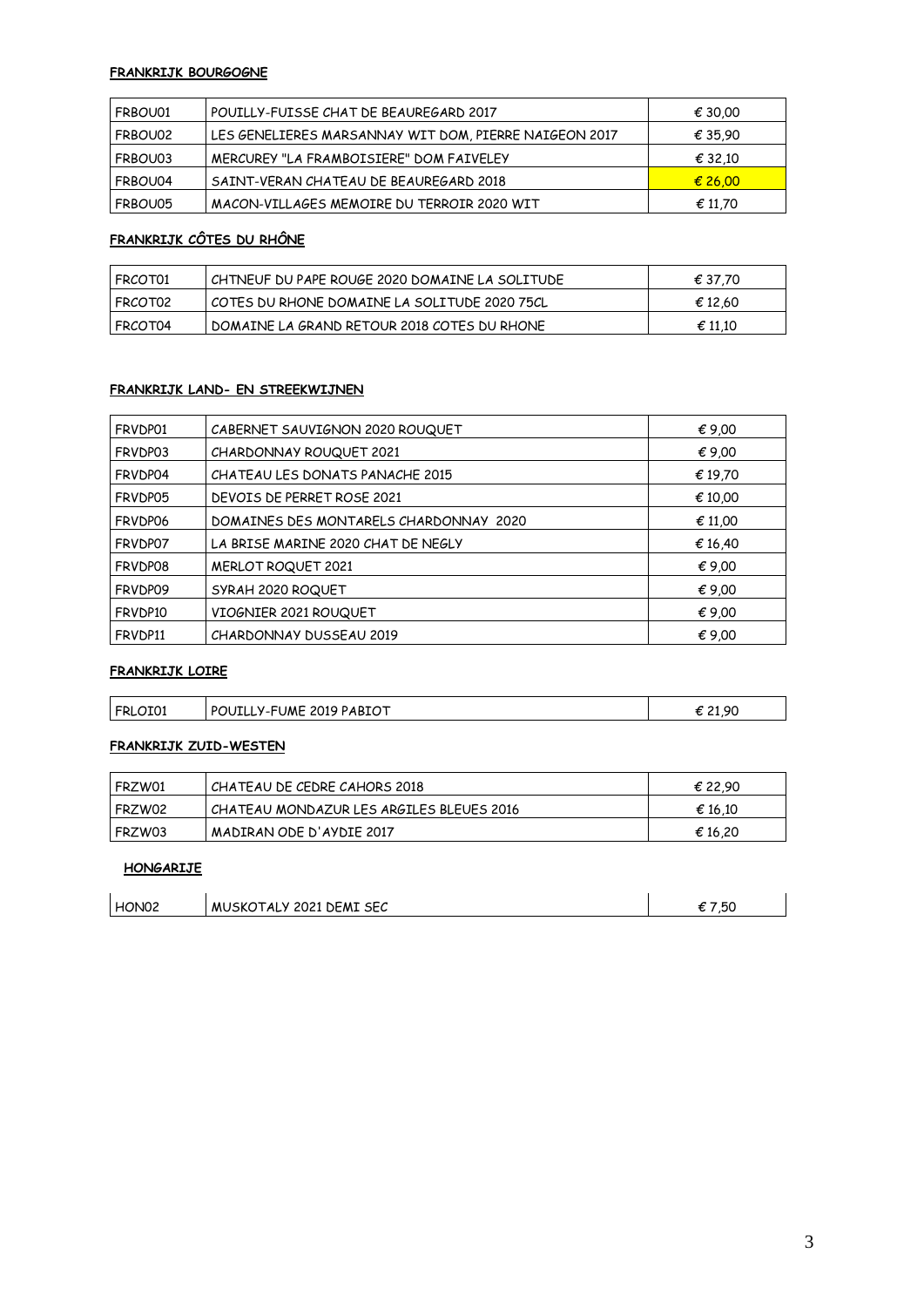#### **FRANKRIJK BOURGOGNE**

| FRBOU01   | I POUILLY-FUISSE CHAT DE BEAUREGARD 2017              | € 30.00 |
|-----------|-------------------------------------------------------|---------|
| I FRBOU02 | LES GENELIERES MARSANNAY WIT DOM, PIERRE NAIGEON 2017 | € 35,90 |
| FRBOU03   | MERCUREY "LA FRAMBOISIERE" DOM FAIVELEY               | € 32.10 |
| FRBOU04   | SAINT-VERAN CHATEAU DE BEAUREGARD 2018                | € 26,00 |
| l FRBOU05 | MACON-VILLAGES MEMOIRE DU TERROIR 2020 WIT            | € 11,70 |

## **FRANKRIJK CÔTES DU RHÔNE**

| FRCOT01 | I CHTNEUF DU PAPE ROUGE 2020 DOMAINE LA SOLITUDE | € 37.70          |
|---------|--------------------------------------------------|------------------|
| FRCOT02 | l COTES DU RHONE DOMAINE LA SOLITUDE 2020 75CL   | € 12.60          |
| FRCOT04 | I DOMAINE LA GRAND RETOUR 2018 COTES DU RHONE    | $\epsilon$ 11,10 |

#### **FRANKRIJK LAND- EN STREEKWIJNEN**

| FRVDP01 | CABERNET SAUVIGNON 2020 ROUQUET        | $\epsilon$ 9,00 |
|---------|----------------------------------------|-----------------|
| FRVDP03 | CHARDONNAY ROUQUET 2021                | € 9.00          |
| FRVDP04 | CHATEAU LES DONATS PANACHE 2015        | € 19.70         |
| FRVDP05 | DEVOIS DE PERRET ROSE 2021             | € 10.00         |
| FRVDP06 | DOMAINES DES MONTARELS CHARDONNAY 2020 | € 11.00         |
| FRVDP07 | LA BRISE MARINE 2020 CHAT DE NEGLY     | € 16,40         |
| FRVDP08 | MERLOT ROQUET 2021                     | $\epsilon$ 9.00 |
| FRVDP09 | SYRAH 2020 ROQUET                      | € 9.00          |
| FRVDP10 | VIOGNIER 2021 ROUQUET                  | $\epsilon$ 9.00 |
| FRVDP11 | CHARDONNAY DUSSEAU 2019                | € 9.00          |

#### **FRANKRIJK LOIRE**

| FRI<br>TOT | PABIOT<br>UME<br>2019<br>ומם<br>™OUIL∟.<br>$\mathbf{v}$<br>. | 0C<br>.<br>--- |
|------------|--------------------------------------------------------------|----------------|
|            |                                                              |                |

#### **FRANKRIJK ZUID-WESTEN**

| I FRZW01 | CHATEAU DE CEDRE CAHORS 2018             | € 22.90 |
|----------|------------------------------------------|---------|
| FRZW02   | CHATEAU MONDAZUR LES ARGILES BLEUES 2016 | € 16.10 |
| l FRZW03 | MADIRAN ODE D'AYDIE 2017                 | € 16.20 |

#### **HONGARIJE**

| HON <sub>02</sub> | MUSKOTALY 2021 DEMI SEC | 7.50 |
|-------------------|-------------------------|------|
|-------------------|-------------------------|------|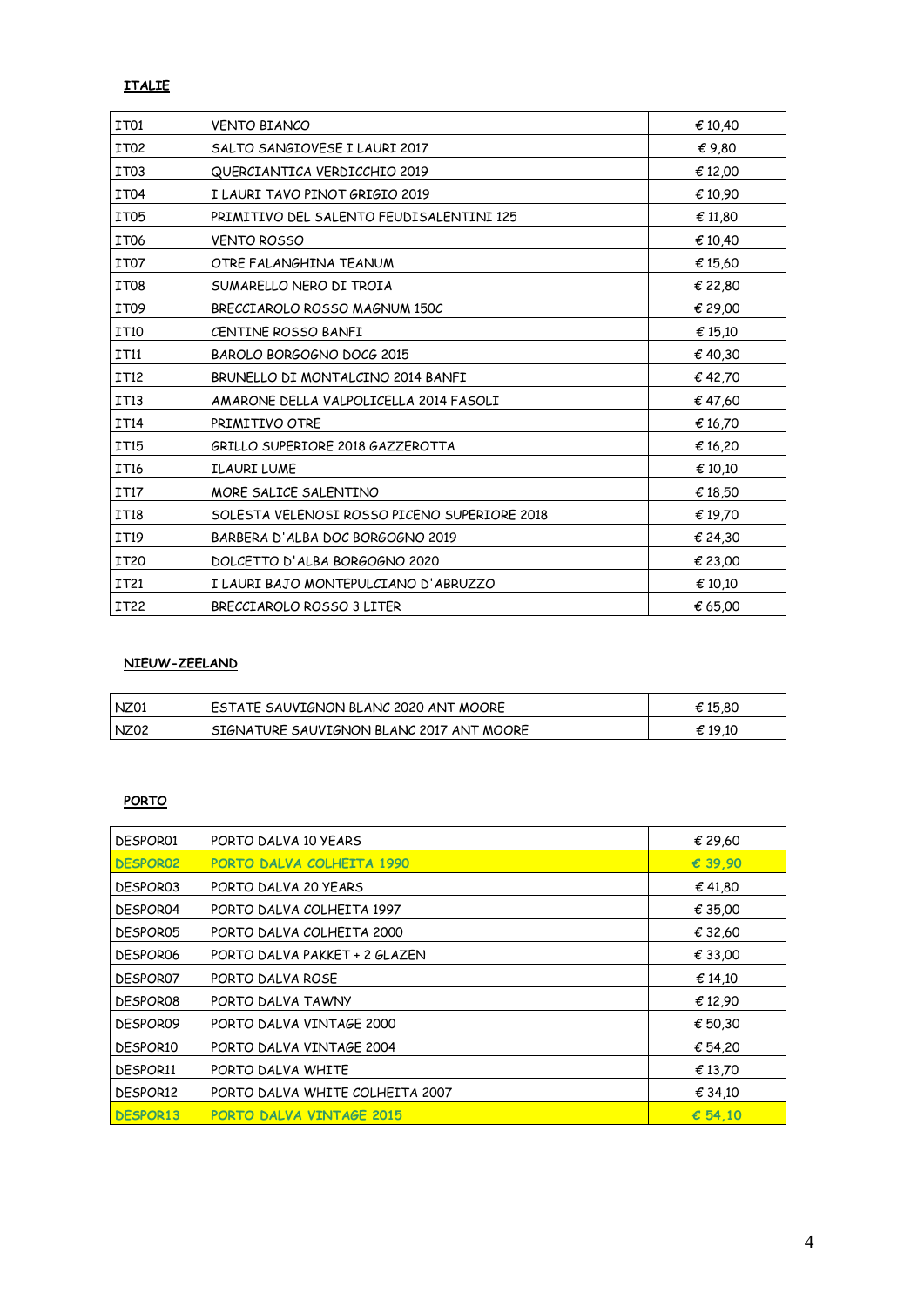#### **ITALIE**

| IT <sub>01</sub> | <b>VENTO BIANCO</b>                          | € 10.40         |
|------------------|----------------------------------------------|-----------------|
| IT <sub>02</sub> | SALTO SANGIOVESE I LAURI 2017                | $\epsilon$ 9,80 |
| IT <sub>03</sub> | QUERCIANTICA VERDICCHIO 2019                 | € 12,00         |
| IT04             | I LAURI TAVO PINOT GRIGIO 2019               | € 10,90         |
| IT <sub>05</sub> | PRIMITIVO DEL SALENTO FEUDISALENTINI 125     | € 11,80         |
| IT <sub>06</sub> | <b>VENTO ROSSO</b>                           | € 10,40         |
| IT <sub>07</sub> | OTRE FALANGHINA TEANUM                       | € 15,60         |
| IT08             | SUMARELLO NERO DI TROIA                      | € 22,80         |
| IT <sub>09</sub> | BRECCIAROLO ROSSO MAGNUM 150C                | € 29,00         |
| IT10             | CENTINE ROSSO BANFI                          | € 15,10         |
| <b>IT11</b>      | BAROLO BORGOGNO DOCG 2015                    | €40,30          |
| <b>IT12</b>      | BRUNELLO DI MONTALCINO 2014 BANFI            | € 42,70         |
| <b>IT13</b>      | AMARONE DELLA VALPOLICELLA 2014 FASOLI       | € 47,60         |
| <b>IT14</b>      | PRIMITIVO OTRE                               | € 16,70         |
| IT15             | GRILLO SUPERIORE 2018 GAZZEROTTA             | € 16,20         |
| <b>IT16</b>      | <b>ILAURI LUME</b>                           | € 10,10         |
| <b>IT17</b>      | MORE SALICE SALENTINO                        | € 18,50         |
| <b>IT18</b>      | SOLESTA VELENOSI ROSSO PICENO SUPERIORE 2018 | € 19.70         |
| IT19             | BARBERA D'ALBA DOC BORGOGNO 2019             | € 24,30         |
| <b>IT20</b>      | DOLCETTO D'ALBA BORGOGNO 2020                | € 23,00         |
| IT21             | I LAURI BAJO MONTEPULCIANO D'ABRUZZO         | € 10,10         |
| IT22             | BRECCIAROLO ROSSO 3 LITER                    | € 65.00         |

#### **NIEUW-ZEELAND**

| I NZ01 | ESTATE SAUVIGNON BLANC 2020 ANT MOORE    | € 15.80 |
|--------|------------------------------------------|---------|
| NZ02   | SIGNATURE SAUVIGNON BLANC 2017 ANT MOORE | € 19.10 |

#### **PORTO**

| <b>DESPOR01</b> | PORTO DALVA 10 YEARS            | € 29,60          |
|-----------------|---------------------------------|------------------|
| <b>DESPOR02</b> | PORTO DALVA COLHEITA 1990       | € 39.90          |
| DESPOR03        | PORTO DALVA 20 YEARS            | $\epsilon$ 41,80 |
| <b>DESPOR04</b> | PORTO DALVA COLHEITA 1997       | € 35,00          |
| DESPOR05        | PORTO DALVA COLHEITA 2000       | € 32,60          |
| DESPOR06        | PORTO DALVA PAKKET + 2 GLAZEN   | € 33,00          |
| DFSPOR07        | PORTO DALVA ROSE                | € 14.10          |
| DFSPOR08        | PORTO DALVA TAWNY               | € 12,90          |
| DESPOR09        | PORTO DALVA VINTAGE 2000        | € 50,30          |
| <b>DESPOR10</b> | PORTO DALVA VINTAGE 2004        | € 54,20          |
| <b>DESPOR11</b> | PORTO DALVA WHITE               | € 13.70          |
| DESPOR12        | PORTO DALVA WHITE COLHEITA 2007 | $\epsilon$ 34.10 |
| <b>DESPOR13</b> | <b>PORTO DALVA VINTAGE 2015</b> | $\epsilon$ 54.10 |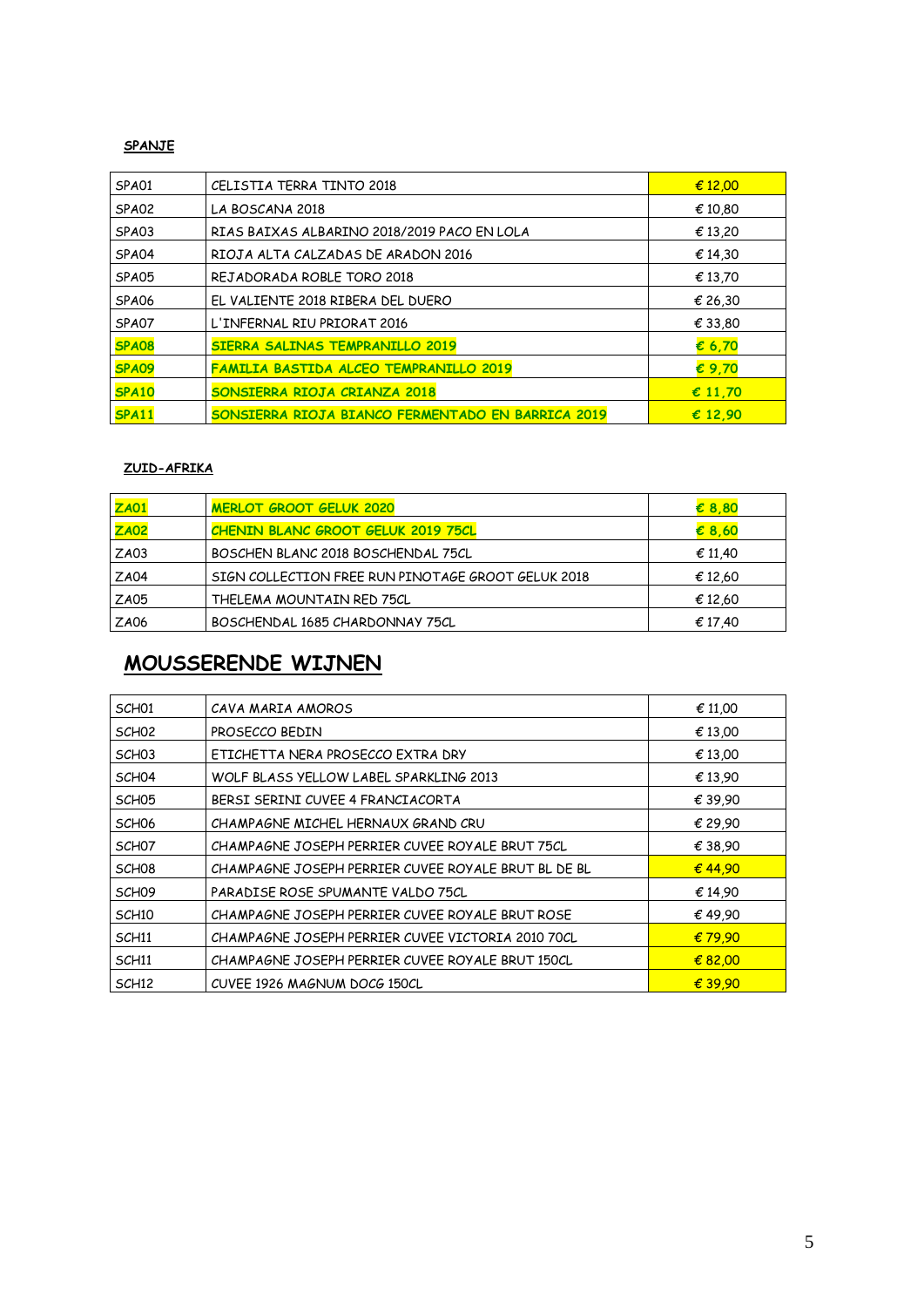#### **SPANJE**

| SPA01        | CELISTIA TERRA TINTO 2018                         | € 12,00          |
|--------------|---------------------------------------------------|------------------|
| SPA02        | LA BOSCANA 2018                                   | € 10,80          |
| SPA03        | RIAS BAIXAS ALBARINO 2018/2019 PACO EN LOLA       | € 13,20          |
| SPA04        | RIOJA ALTA CALZADAS DE ARADON 2016                | € 14,30          |
| SPA05        | REJADORADA ROBLE TORO 2018                        | € 13,70          |
| SPA06        | EL VALIENTE 2018 RIBERA DEL DUERO                 | € 26,30          |
| SPA07        | L'INFERNAL RIU PRIORAT 2016                       | € 33,80          |
| <b>SPA08</b> | <b>SIERRA SALINAS TEMPRANILLO 2019</b>            | $\epsilon$ 6,70  |
| SPA09        | <b>FAMILIA BASTIDA ALCEO TEMPRANILLO 2019</b>     | €9.70            |
| <b>SPA10</b> | SONSIERRA RIOJA CRIANZA 2018                      | $\epsilon$ 11,70 |
| <b>SPA11</b> | SONSIERRA RIOJA BIANCO FERMENTADO EN BARRICA 2019 | $\epsilon$ 12.90 |

#### **ZUID-AFRIKA**

| ZAO1        | <b>MERLOT GROOT GELUK 2020</b>                     | $\epsilon$ 8,80 |
|-------------|----------------------------------------------------|-----------------|
| <b>ZA02</b> | CHENIN BLANC GROOT GELUK 2019 75CL                 | $\epsilon$ 8,60 |
| ZAO3        | BOSCHEN BLANC 2018 BOSCHENDAL 75CL                 | € 11.40         |
| <b>ZA04</b> | SIGN COLLECTION FREE RUN PINOTAGE GROOT GELUK 2018 | € 12,60         |
| ZA05        | THELEMA MOUNTAIN RED 75CL                          | € 12,60         |
| ZA06        | BOSCHENDAL 1685 CHARDONNAY 75CL                    | € 17.40         |

## **MOUSSERENDE WIJNEN**

| SCH <sub>01</sub> | CAVA MARIA AMOROS                                   | € 11,00 |
|-------------------|-----------------------------------------------------|---------|
| SCH <sub>02</sub> | PROSFCCO BEDIN                                      | € 13,00 |
| SCH <sub>03</sub> | ETICHETTA NERA PROSECCO EXTRA DRY                   | € 13,00 |
| SCH <sub>04</sub> | WOLF BLASS YELLOW LABEL SPARKLING 2013              | € 13.90 |
| SCH <sub>05</sub> | BERSI SERINI CUVEE 4 FRANCIACORTA                   | € 39.90 |
| SCH <sub>06</sub> | CHAMPAGNE MICHEL HERNAUX GRAND CRU                  | € 29.90 |
| SCH <sub>07</sub> | CHAMPAGNE JOSEPH PERRIER CUVEE ROYALE BRUT 75CL     | € 38.90 |
| SCH <sub>08</sub> | CHAMPAGNE JOSEPH PERRIER CUVEE ROYALE BRUT BL DE BL | € 44.90 |
| SCH <sub>09</sub> | PARADISE ROSE SPUMANTE VALDO 75CL                   | € 14.90 |
| SCH <sub>10</sub> | CHAMPAGNE JOSEPH PERRIER CUVEE ROYALE BRUT ROSE     | €49.90  |
| SCH <sub>11</sub> | CHAMPAGNE JOSEPH PERRIER CUVEE VICTORIA 2010 70CL   | € 79.90 |
| SCH <sub>11</sub> | CHAMPAGNE JOSEPH PERRIER CUVEE ROYALE BRUT 150CL    | € 82,00 |
| SCH <sub>12</sub> | CUVEE 1926 MAGNUM DOCG 150CL                        | € 39,90 |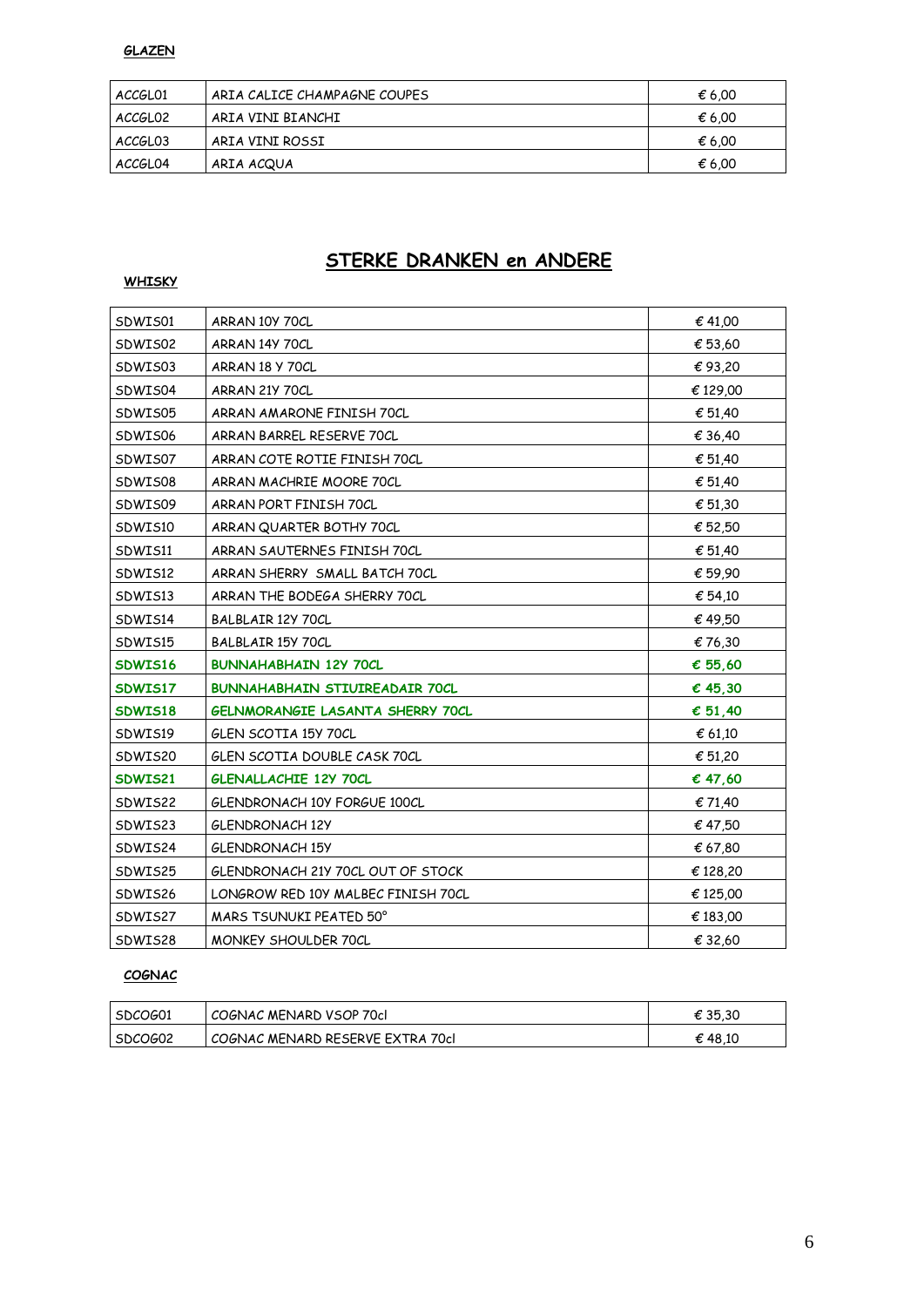#### **GLAZEN**

| ACCGL01             | ARIA CALICE CHAMPAGNE COUPES | € 6.00 |
|---------------------|------------------------------|--------|
| ACCGLO <sub>2</sub> | ARIA VINI BIANCHI            | € 6.00 |
| ACCGL03             | ARIA VINI ROSSI              | € 6.00 |
| ACCGL04             | ARIA ACQUA                   | € 6.00 |

## **STERKE DRANKEN en ANDERE**

#### **WHISKY**

| SDWIS01 | ARRAN 10Y 70CL                        | € 41,00  |
|---------|---------------------------------------|----------|
| SDWIS02 | ARRAN 14Y 70CL                        | € 53,60  |
| SDWIS03 | ARRAN 18 Y 70CL                       | €93,20   |
| SDWIS04 | ARRAN 21Y 70CL                        | € 129,00 |
| SDWIS05 | ARRAN AMARONE FINISH 70CL             | € 51,40  |
| SDWIS06 | ARRAN BARREL RESERVE 70CL             | € 36,40  |
| SDWIS07 | ARRAN COTE ROTIE FINISH 70CL          | € 51,40  |
| SDWIS08 | ARRAN MACHRIE MOORE 70CL              | € 51,40  |
| SDWIS09 | ARRAN PORT FINISH 70CL                | € 51,30  |
| SDWIS10 | ARRAN QUARTER BOTHY 70CL              | € 52,50  |
| SDWIS11 | ARRAN SAUTERNES FINISH 70CL           | € 51,40  |
| SDWIS12 | ARRAN SHERRY SMALL BATCH 70CL         | € 59,90  |
| SDWIS13 | ARRAN THE BODEGA SHERRY 70CL          | € 54,10  |
| SDWIS14 | BALBLAIR 12Y 70CL                     | €49,50   |
| SDWIS15 | BALBLAIR 15Y 70CL                     | € 76.30  |
| SDWIS16 | <b>BUNNAHABHAIN 12Y 70CL</b>          | € 55,60  |
| SDWIS17 | <b>BUNNAHABHAIN STIUIREADAIR 70CL</b> | € 45,30  |
| SDWIS18 | GELNMORANGIE LASANTA SHERRY 70CL      | € 51,40  |
| SDWIS19 | GLEN SCOTIA 15Y 70CL                  | € 61,10  |
| SDWIS20 | GLEN SCOTIA DOUBLE CASK 70CL          | € 51,20  |
| SDWIS21 | GLENALLACHIE 12Y 70CL                 | € 47,60  |
| SDWIS22 | GLENDRONACH 10Y FORGUE 100CL          | € 71,40  |
| SDWIS23 | GLENDRONACH 12Y                       | € 47,50  |
| SDWIS24 | GLENDRONACH 15Y                       | € 67,80  |
| SDWIS25 | GLENDRONACH 21Y 70CL OUT OF STOCK     | € 128,20 |
| SDWIS26 | LONGROW RED 10Y MALBEC FINISH 70CL    | € 125,00 |
| SDWIS27 | MARS TSUNUKI PEATED 50°               | € 183,00 |
| SDWIS28 | MONKEY SHOULDER 70CL                  | € 32,60  |

#### **COGNAC**

| I SDCOG01 | COGNAC MENARD VSOP 70cl          | € 35.30 |
|-----------|----------------------------------|---------|
| SDCOG02   | COGNAC MENARD RESERVE EXTRA 70cl | € 48.10 |